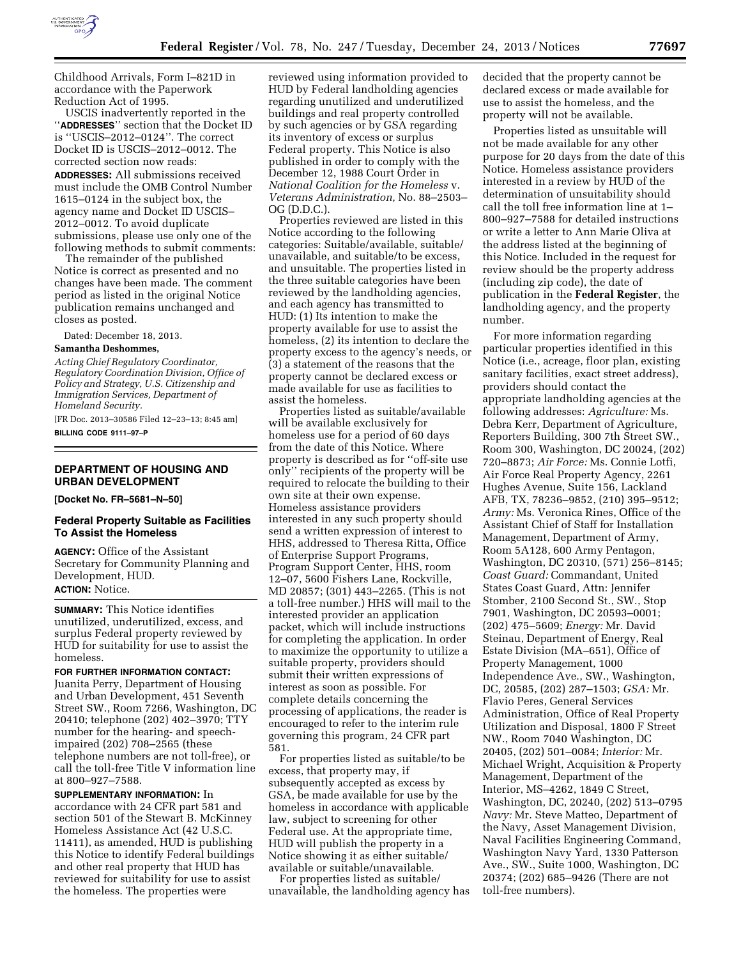

Childhood Arrivals, Form I–821D in accordance with the Paperwork Reduction Act of 1995.

USCIS inadvertently reported in the ''**ADDRESSES**'' section that the Docket ID is ''USCIS–2012–0124''. The correct Docket ID is USCIS–2012–0012. The corrected section now reads: **ADDRESSES:** All submissions received must include the OMB Control Number 1615–0124 in the subject box, the agency name and Docket ID USCIS– 2012–0012. To avoid duplicate submissions, please use only one of the following methods to submit comments:

The remainder of the published Notice is correct as presented and no changes have been made. The comment period as listed in the original Notice publication remains unchanged and closes as posted.

Dated: December 18, 2013.

## **Samantha Deshommes,**

*Acting Chief Regulatory Coordinator, Regulatory Coordination Division, Office of Policy and Strategy, U.S. Citizenship and Immigration Services, Department of Homeland Security.* 

[FR Doc. 2013–30586 Filed 12–23–13; 8:45 am] **BILLING CODE 9111–97–P** 

#### **DEPARTMENT OF HOUSING AND URBAN DEVELOPMENT**

**[Docket No. FR–5681–N–50]** 

## **Federal Property Suitable as Facilities To Assist the Homeless**

**AGENCY:** Office of the Assistant Secretary for Community Planning and Development, HUD. **ACTION:** Notice.

**SUMMARY:** This Notice identifies unutilized, underutilized, excess, and surplus Federal property reviewed by HUD for suitability for use to assist the homeless.

**FOR FURTHER INFORMATION CONTACT:**  Juanita Perry, Department of Housing and Urban Development, 451 Seventh Street SW., Room 7266, Washington, DC 20410; telephone (202) 402–3970; TTY number for the hearing- and speechimpaired (202) 708–2565 (these telephone numbers are not toll-free), or call the toll-free Title V information line at 800–927–7588.

**SUPPLEMENTARY INFORMATION:** In accordance with 24 CFR part 581 and section 501 of the Stewart B. McKinney Homeless Assistance Act (42 U.S.C. 11411), as amended, HUD is publishing this Notice to identify Federal buildings and other real property that HUD has reviewed for suitability for use to assist the homeless. The properties were

reviewed using information provided to HUD by Federal landholding agencies regarding unutilized and underutilized buildings and real property controlled by such agencies or by GSA regarding its inventory of excess or surplus Federal property. This Notice is also published in order to comply with the December 12, 1988 Court Order in *National Coalition for the Homeless* v. *Veterans Administration,* No. 88–2503– OG (D.D.C.).

Properties reviewed are listed in this Notice according to the following categories: Suitable/available, suitable/ unavailable, and suitable/to be excess, and unsuitable. The properties listed in the three suitable categories have been reviewed by the landholding agencies, and each agency has transmitted to HUD: (1) Its intention to make the property available for use to assist the homeless, (2) its intention to declare the property excess to the agency's needs, or (3) a statement of the reasons that the property cannot be declared excess or made available for use as facilities to assist the homeless.

Properties listed as suitable/available will be available exclusively for homeless use for a period of 60 days from the date of this Notice. Where property is described as for ''off-site use only'' recipients of the property will be required to relocate the building to their own site at their own expense. Homeless assistance providers interested in any such property should send a written expression of interest to HHS, addressed to Theresa Ritta, Office of Enterprise Support Programs, Program Support Center, HHS, room 12–07, 5600 Fishers Lane, Rockville, MD 20857; (301) 443–2265. (This is not a toll-free number.) HHS will mail to the interested provider an application packet, which will include instructions for completing the application. In order to maximize the opportunity to utilize a suitable property, providers should submit their written expressions of interest as soon as possible. For complete details concerning the processing of applications, the reader is encouraged to refer to the interim rule governing this program, 24 CFR part 581.

For properties listed as suitable/to be excess, that property may, if subsequently accepted as excess by GSA, be made available for use by the homeless in accordance with applicable law, subject to screening for other Federal use. At the appropriate time, HUD will publish the property in a Notice showing it as either suitable/ available or suitable/unavailable.

For properties listed as suitable/ unavailable, the landholding agency has decided that the property cannot be declared excess or made available for use to assist the homeless, and the property will not be available.

Properties listed as unsuitable will not be made available for any other purpose for 20 days from the date of this Notice. Homeless assistance providers interested in a review by HUD of the determination of unsuitability should call the toll free information line at 1– 800–927–7588 for detailed instructions or write a letter to Ann Marie Oliva at the address listed at the beginning of this Notice. Included in the request for review should be the property address (including zip code), the date of publication in the **Federal Register**, the landholding agency, and the property number.

For more information regarding particular properties identified in this Notice (i.e., acreage, floor plan, existing sanitary facilities, exact street address), providers should contact the appropriate landholding agencies at the following addresses: *Agriculture:* Ms. Debra Kerr, Department of Agriculture, Reporters Building, 300 7th Street SW., Room 300, Washington, DC 20024, (202) 720–8873; *Air Force:* Ms. Connie Lotfi, Air Force Real Property Agency, 2261 Hughes Avenue, Suite 156, Lackland AFB, TX, 78236–9852, (210) 395–9512; *Army:* Ms. Veronica Rines, Office of the Assistant Chief of Staff for Installation Management, Department of Army, Room 5A128, 600 Army Pentagon, Washington, DC 20310, (571) 256–8145; *Coast Guard:* Commandant, United States Coast Guard, Attn: Jennifer Stomber, 2100 Second St., SW., Stop 7901, Washington, DC 20593–0001; (202) 475–5609; *Energy:* Mr. David Steinau, Department of Energy, Real Estate Division (MA–651), Office of Property Management, 1000 Independence Ave., SW., Washington, DC, 20585, (202) 287–1503; *GSA:* Mr. Flavio Peres, General Services Administration, Office of Real Property Utilization and Disposal, 1800 F Street NW., Room 7040 Washington, DC 20405, (202) 501–0084; *Interior:* Mr. Michael Wright, Acquisition & Property Management, Department of the Interior, MS–4262, 1849 C Street, Washington, DC, 20240, (202) 513–0795 *Navy:* Mr. Steve Matteo, Department of the Navy, Asset Management Division, Naval Facilities Engineering Command, Washington Navy Yard, 1330 Patterson Ave., SW., Suite 1000, Washington, DC 20374; (202) 685–9426 (There are not toll-free numbers).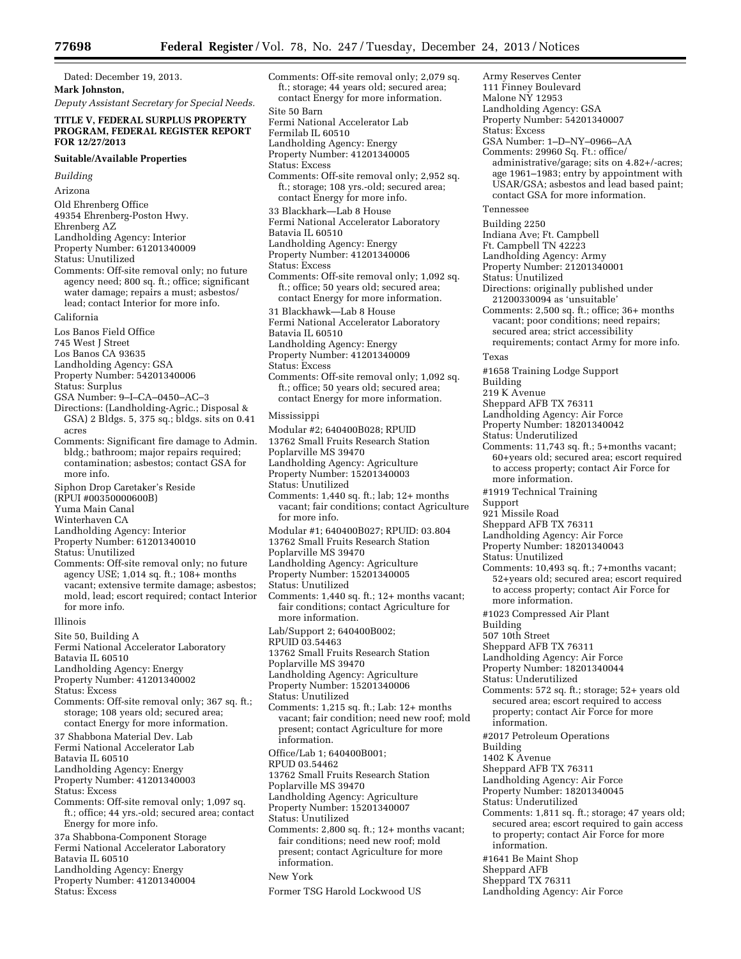Dated: December 19, 2013. **Mark Johnston,** 

*Deputy Assistant Secretary for Special Needs.* 

## **TITLE V, FEDERAL SURPLUS PROPERTY PROGRAM, FEDERAL REGISTER REPORT FOR 12/27/2013**

#### **Suitable/Available Properties**

*Building* 

Arizona

Old Ehrenberg Office

- 49354 Ehrenberg-Poston Hwy. Ehrenberg AZ
- Landholding Agency: Interior Property Number: 61201340009

Status: Unutilized

- Comments: Off-site removal only; no future agency need; 800 sq. ft.; office; significant water damage; repairs a must; asbestos/ lead; contact Interior for more info.
- California
- Los Banos Field Office
- 745 West J Street
- Los Banos CA 93635
- Landholding Agency: GSA
- Property Number: 54201340006
- Status: Surplus
- GSA Number: 9–I–CA–0450–AC–3
- Directions: (Landholding-Agric.; Disposal & GSA) 2 Bldgs. 5, 375 sq.; bldgs. sits on 0.41 acres

Comments: Significant fire damage to Admin. bldg.; bathroom; major repairs required; contamination; asbestos; contact GSA for more info.

- Siphon Drop Caretaker's Reside
- (RPUI #00350000600B)
- Yuma Main Canal
- Winterhaven CA
- Landholding Agency: Interior
- Property Number: 61201340010
- Status: Unutilized
- Comments: Off-site removal only; no future agency USE; 1,014 sq. ft.; 108+ months vacant; extensive termite damage; asbestos; mold, lead; escort required; contact Interior for more info.

#### Illinois

Site 50, Building A

- Fermi National Accelerator Laboratory
- Batavia IL 60510
- Landholding Agency: Energy

Property Number: 41201340002

- Status: Excess
- Comments: Off-site removal only; 367 sq. ft.; storage; 108 years old; secured area; contact Energy for more information.
- 37 Shabbona Material Dev. Lab
- Fermi National Accelerator Lab
- Batavia IL 60510
- Landholding Agency: Energy

Property Number: 41201340003

- Status: Excess
- Comments: Off-site removal only; 1,097 sq. ft.; office; 44 yrs.-old; secured area; contact Energy for more info.
- 37a Shabbona-Component Storage Fermi National Accelerator Laboratory
- Batavia IL 60510
- Landholding Agency: Energy
- Property Number: 41201340004 Status: Excess

Comments: Off-site removal only; 2,079 sq. ft.; storage; 44 years old; secured area; contact Energy for more information. Site 50 Barn Fermi National Accelerator Lab Fermilab IL 60510 Landholding Agency: Energy Property Number: 41201340005 Status: Excess Comments: Off-site removal only; 2,952 sq. ft.; storage; 108 yrs.-old; secured area; contact Energy for more info. 33 Blackhark—Lab 8 House Fermi National Accelerator Laboratory Batavia IL 60510 Landholding Agency: Energy Property Number: 41201340006 Status: Excess Comments: Off-site removal only; 1,092 sq. ft.; office; 50 years old; secured area; contact Energy for more information. 31 Blackhawk—Lab 8 House Fermi National Accelerator Laboratory Batavia IL 60510 Landholding Agency: Energy Property Number: 41201340009 Status: Excess Comments: Off-site removal only; 1,092 sq. ft.; office; 50 years old; secured area; contact Energy for more information. Mississippi Modular #2; 640400B028; RPUID 13762 Small Fruits Research Station Poplarville MS 39470 Landholding Agency: Agriculture Property Number: 15201340003 Status: Unutilized Comments: 1,440 sq. ft.; lab; 12+ months vacant; fair conditions; contact Agriculture for more info. Modular #1; 640400B027; RPUID: 03.804 13762 Small Fruits Research Station Poplarville MS 39470 Landholding Agency: Agriculture Property Number: 15201340005 Status: Unutilized Comments: 1,440 sq. ft.; 12+ months vacant; fair conditions; contact Agriculture for more information. Lab/Support 2; 640400B002; RPUID 03.54463 13762 Small Fruits Research Station Poplarville MS 39470 Landholding Agency: Agriculture Property Number: 15201340006 Status: Unutilized Comments: 1,215 sq. ft.; Lab: 12+ months vacant; fair condition; need new roof; mold present; contact Agriculture for more information. Office/Lab 1; 640400B001; RPUD 03.54462 13762 Small Fruits Research Station Poplarville MS 39470 Landholding Agency: Agriculture Property Number: 15201340007 Status: Unutilized Comments: 2,800 sq. ft.; 12+ months vacant; fair conditions; need new roof; mold present; contact Agriculture for more information. New York Former TSG Harold Lockwood US

Army Reserves Center 111 Finney Boulevard Malone NY 12953 Landholding Agency: GSA Property Number: 54201340007 Status: Excess GSA Number: 1–D–NY–0966–AA Comments: 29960 Sq. Ft.: office/ administrative/garage; sits on 4.82+/-acres; age 1961–1983; entry by appointment with USAR/GSA; asbestos and lead based paint; contact GSA for more information. Tennessee Building 2250 Indiana Ave; Ft. Campbell Ft. Campbell TN 42223 Landholding Agency: Army Property Number: 21201340001 Status: Unutilized Directions: originally published under 21200330094 as 'unsuitable' Comments: 2,500 sq. ft.; office; 36+ months vacant; poor conditions; need repairs; secured area; strict accessibility requirements; contact Army for more info. Texas #1658 Training Lodge Support Building 219 K Avenue Sheppard AFB TX 76311 Landholding Agency: Air Force Property Number: 18201340042 Status: Underutilized Comments: 11,743 sq. ft.; 5+months vacant; 60+years old; secured area; escort required to access property; contact Air Force for more information. #1919 Technical Training Support 921 Missile Road Sheppard AFB TX 76311 Landholding Agency: Air Force Property Number: 18201340043 Status: Unutilized Comments: 10,493 sq. ft.; 7+months vacant; 52+years old; secured area; escort required to access property; contact Air Force for more information. #1023 Compressed Air Plant Building 507 10th Street Sheppard AFB TX 76311 Landholding Agency: Air Force Property Number: 18201340044 Status: Underutilized Comments: 572 sq. ft.; storage; 52+ years old secured area; escort required to access property; contact Air Force for more information. #2017 Petroleum Operations Building 1402 K Avenue Sheppard AFB TX 76311 Landholding Agency: Air Force Property Number: 18201340045 Status: Underutilized Comments: 1,811 sq. ft.; storage; 47 years old; secured area; escort required to gain access to property; contact Air Force for more information. #1641 Be Maint Shop Sheppard AFB Sheppard TX 76311 Landholding Agency: Air Force